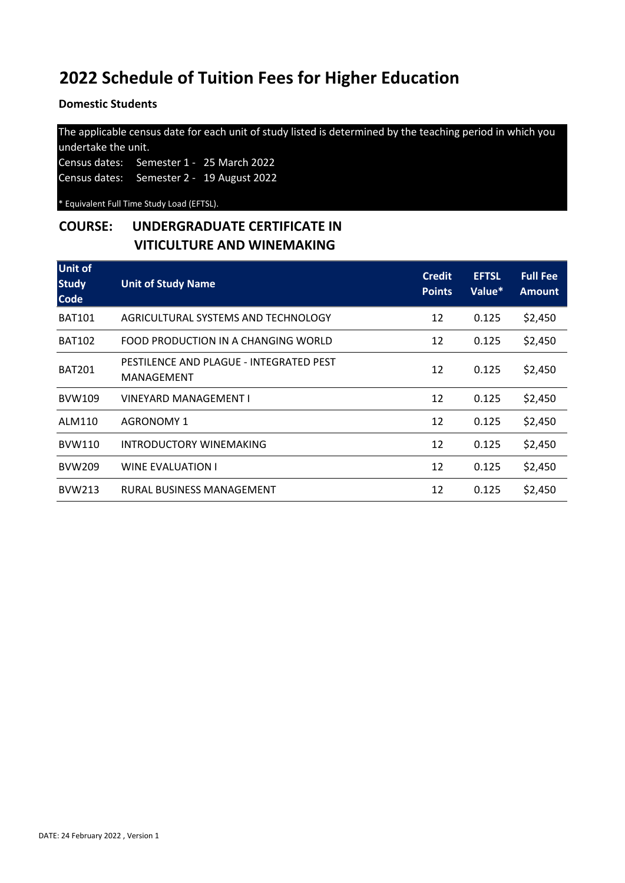**Domestic Students** 

The applicable census date for each unit of study listed is determined by the teaching period in which you undertake the unit. Census dates: Semester 1 - 25 March 2022

Census dates: Semester 2 - 19 August 2022

\* Equivalent Full Time Study Load (EFTSL).

## **COURSE: UNDERGRADUATE CERTIFICATE IN VITICULTURE AND WINEMAKING**

| <b>Unit of</b><br><b>Study</b><br><b>Code</b> | <b>Unit of Study Name</b>                             | <b>Credit</b><br><b>Points</b> | <b>EFTSL</b><br>Value* | <b>Full Fee</b><br><b>Amount</b> |
|-----------------------------------------------|-------------------------------------------------------|--------------------------------|------------------------|----------------------------------|
| <b>BAT101</b>                                 | AGRICULTURAL SYSTEMS AND TECHNOLOGY                   | 12                             | 0.125                  | \$2,450                          |
| <b>BAT102</b>                                 | FOOD PRODUCTION IN A CHANGING WORLD                   | 12                             | 0.125                  | \$2,450                          |
| <b>BAT201</b>                                 | PESTILENCE AND PLAGUE - INTEGRATED PEST<br>MANAGEMENT | 12                             | 0.125                  | \$2,450                          |
| <b>BVW109</b>                                 | VINEYARD MANAGEMENT I                                 | 12                             | 0.125                  | \$2,450                          |
| ALM110                                        | <b>AGRONOMY 1</b>                                     | 12                             | 0.125                  | \$2,450                          |
| <b>BVW110</b>                                 | INTRODUCTORY WINEMAKING                               | 12                             | 0.125                  | \$2,450                          |
| <b>BVW209</b>                                 | WINE EVALUATION I                                     | 12                             | 0.125                  | \$2,450                          |
| <b>BVW213</b>                                 | RURAL BUSINESS MANAGEMENT                             | 12                             | 0.125                  | \$2,450                          |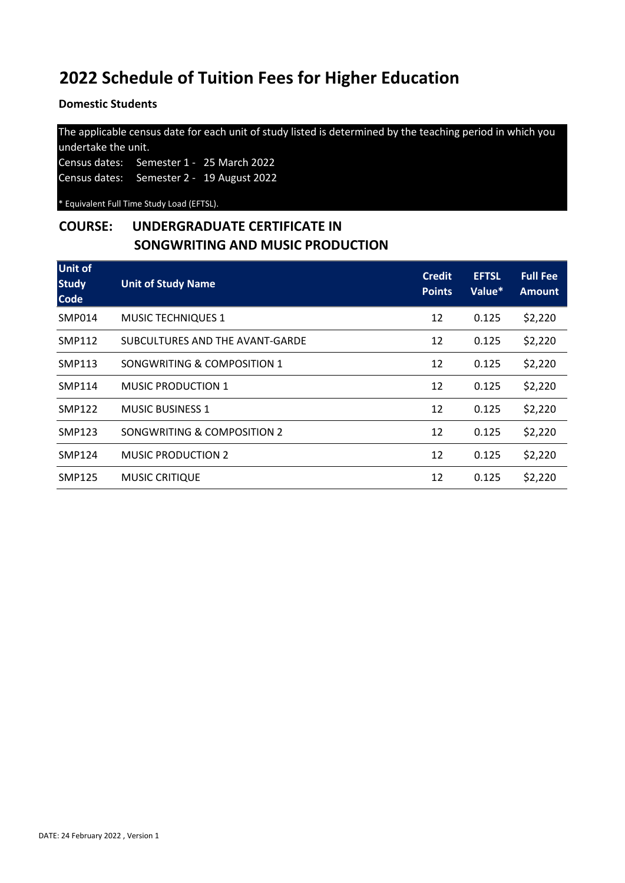**Domestic Students** 

The applicable census date for each unit of study listed is determined by the teaching period in which you undertake the unit. Census dates: Semester 1 - 25 March 2022

Census dates: Semester 2 - 19 August 2022

\* Equivalent Full Time Study Load (EFTSL).

### **COURSE: UNDERGRADUATE CERTIFICATE IN SONGWRITING AND MUSIC PRODUCTION**

| <b>Unit of</b><br><b>Study</b><br><b>Code</b> | <b>Unit of Study Name</b>       | <b>Credit</b><br><b>Points</b> | <b>EFTSL</b><br>Value* | <b>Full Fee</b><br><b>Amount</b> |
|-----------------------------------------------|---------------------------------|--------------------------------|------------------------|----------------------------------|
| <b>SMP014</b>                                 | <b>MUSIC TECHNIQUES 1</b>       | 12                             | 0.125                  | \$2,220                          |
| SMP112                                        | SUBCULTURES AND THE AVANT-GARDE | 12                             | 0.125                  | \$2,220                          |
| SMP113                                        | SONGWRITING & COMPOSITION 1     | 12                             | 0.125                  | \$2,220                          |
| SMP114                                        | MUSIC PRODUCTION 1              | 12                             | 0.125                  | \$2,220                          |
| <b>SMP122</b>                                 | <b>MUSIC BUSINESS 1</b>         | 12                             | 0.125                  | \$2,220                          |
| <b>SMP123</b>                                 | SONGWRITING & COMPOSITION 2     | 12                             | 0.125                  | \$2,220                          |
| <b>SMP124</b>                                 | <b>MUSIC PRODUCTION 2</b>       | 12                             | 0.125                  | \$2,220                          |
| <b>SMP125</b>                                 | <b>MUSIC CRITIQUE</b>           | 12                             | 0.125                  | \$2,220                          |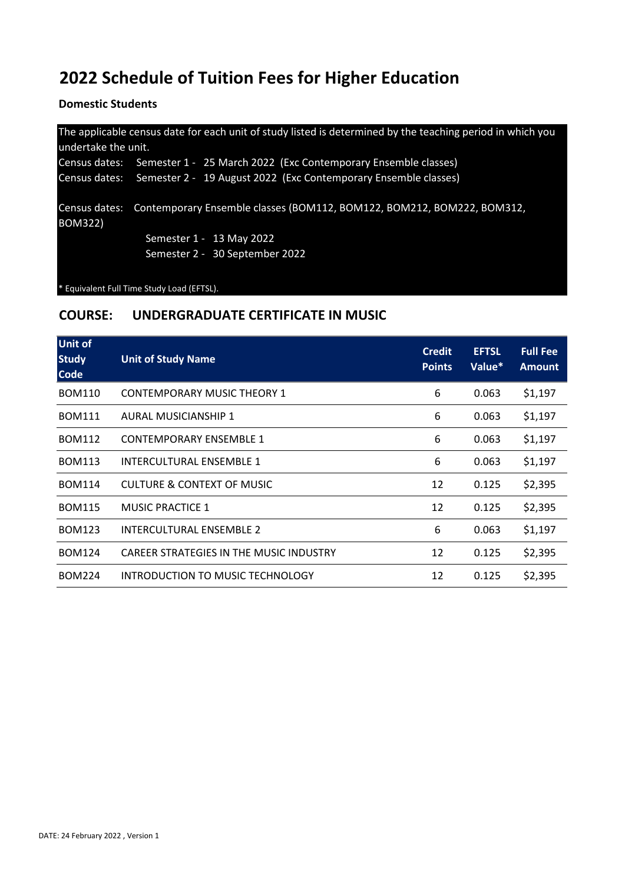**Domestic Students** 

| undertake the unit. | The applicable census date for each unit of study listed is determined by the teaching period in which you |
|---------------------|------------------------------------------------------------------------------------------------------------|
|                     | Census dates: Semester 1 - 25 March 2022 (Exc Contemporary Ensemble classes)                               |
|                     | Census dates: Semester 2 - 19 August 2022 (Exc Contemporary Ensemble classes)                              |
| <b>BOM322)</b>      | Census dates: Contemporary Ensemble classes (BOM112, BOM122, BOM212, BOM222, BOM312,                       |
|                     | Semester 1 - 13 May 2022                                                                                   |
|                     | Semester 2 - 30 September 2022                                                                             |
|                     |                                                                                                            |

\* Equivalent Full Time Study Load (EFTSL).

#### **COURSE: UNDERGRADUATE CERTIFICATE IN MUSIC**

| <b>Unit of</b><br><b>Study</b><br><b>Code</b> | <b>Unit of Study Name</b>               | <b>Credit</b><br><b>Points</b> | <b>EFTSL</b><br>Value* | <b>Full Fee</b><br><b>Amount</b> |
|-----------------------------------------------|-----------------------------------------|--------------------------------|------------------------|----------------------------------|
| <b>BOM110</b>                                 | <b>CONTEMPORARY MUSIC THEORY 1</b>      | 6                              | 0.063                  | \$1,197                          |
| <b>BOM111</b>                                 | <b>AURAL MUSICIANSHIP 1</b>             | 6                              | 0.063                  | \$1,197                          |
| <b>BOM112</b>                                 | <b>CONTEMPORARY ENSEMBLE 1</b>          | 6                              | 0.063                  | \$1,197                          |
| <b>BOM113</b>                                 | INTERCULTURAL ENSEMBLE 1                | 6                              | 0.063                  | \$1,197                          |
| <b>BOM114</b>                                 | <b>CULTURE &amp; CONTEXT OF MUSIC</b>   | 12                             | 0.125                  | \$2,395                          |
| <b>BOM115</b>                                 | <b>MUSIC PRACTICE 1</b>                 | 12                             | 0.125                  | \$2,395                          |
| <b>BOM123</b>                                 | <b>INTERCULTURAL ENSEMBLE 2</b>         | 6                              | 0.063                  | \$1,197                          |
| <b>BOM124</b>                                 | CAREER STRATEGIES IN THE MUSIC INDUSTRY | 12                             | 0.125                  | \$2,395                          |
| <b>BOM224</b>                                 | INTRODUCTION TO MUSIC TECHNOLOGY        | 12                             | 0.125                  | \$2,395                          |